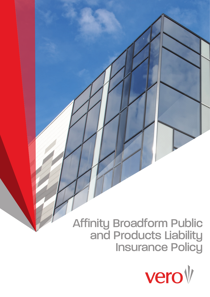# Affinity Broadform Public and Products Liability **Insurance Policy**

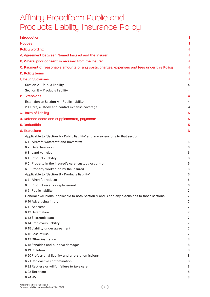# Affinity Broadform Public and Products Liability Insurance Policy

| <b>Introduction</b>                                                                          |        |
|----------------------------------------------------------------------------------------------|--------|
| <b>Notices</b>                                                                               |        |
| <b>Policy wording</b>                                                                        |        |
| A. Agreement between Named Insured and the Insurer                                           | 4      |
| B. Where 'prior consent' is required from the Insurer                                        | 4      |
| C. Payment of reasonable amounts of any costs, charges, expenses and fees under this Policy  | 4      |
| D. Policy terms                                                                              | 4      |
| 1. Insuring clauses                                                                          | 4      |
| Section A - Public liability                                                                 | 4      |
| Section B - Products liability                                                               | 4      |
| 2. Extensions                                                                                | 4      |
| Extension to Section A - Public liability                                                    | 4      |
| 2.1 Care, custody and control expense coverage                                               | 4      |
| 3. Limits of liability                                                                       | 5      |
| 4. Defence costs and supplementary payments                                                  | 5      |
| 5. Deductible                                                                                | 5      |
| <b>6. Exclusions</b>                                                                         | 6      |
| Applicable to 'Section A - Public liability' and any extensions to that section              |        |
| 6.1 Aircraft, watercraft and hovercraft                                                      | 6      |
| 6.2 Defective work                                                                           | 6      |
| 6.3 Land vehicles                                                                            | 6      |
| 6.4 Products liability                                                                       | 6      |
| 6.5 Property in the insured's care, custody or control                                       | 6      |
| 6.6 Property worked on by the insured                                                        | 6      |
| Applicable to 'Section B - Products liability'                                               | 6      |
| 6.7 Aircraft products                                                                        | 6      |
| 6.8 Product recall or replacement                                                            | 6      |
| 6.9 Public liability                                                                         | 7      |
| General exclusions (applicable to both Section A and B and any extensions to those sections) | 7      |
| 6.10 Advertising injury                                                                      | 7      |
| 6.11 Asbestos                                                                                | 7      |
| 6.12 Defamation                                                                              | 7      |
| 6.13 Electronic data                                                                         | 7      |
| 6.14 Employers liability                                                                     | 7      |
| 6.15 Liability under agreement                                                               | 7      |
| 6.16 Loss of use                                                                             | 7      |
| 6.17 Other insurance                                                                         | 8      |
| 6.18 Penalties and punitive damages                                                          | 8      |
| 6.19 Pollution                                                                               | 8      |
| 6.20 Professional liability and errors or omissions<br>6.21 Radioactive contamination        | 8      |
| 6.22 Reckless or willful failure to take care                                                | 8      |
| 6.23 Terrorism                                                                               | 8<br>8 |
| 6.24 War                                                                                     | 8      |
|                                                                                              |        |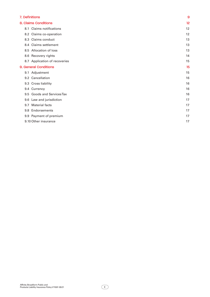| 7. Definitions |                               | 9  |
|----------------|-------------------------------|----|
|                | <b>8. Claims Conditions</b>   | 12 |
| 8.1            | <b>Claims notifications</b>   | 12 |
|                | 8.2 Claims co-operation       | 12 |
| 8.3            | Claims conduct                | 13 |
|                | 8.4 Claims settlement         | 13 |
|                | 8.5 Allocation of loss        | 13 |
|                | 8.6 Recovery rights           | 14 |
|                | 8.7 Application of recoveries | 15 |
|                | 9. General Conditions         | 15 |
|                | 9.1 Adjustment                | 15 |
|                | 9.2 Cancellation              | 16 |
| 9.3            | <b>Cross liability</b>        | 16 |
|                | 9.4 Currency                  | 16 |
| 9.5            | <b>Goods and Services Tax</b> | 16 |
| 9.6            | Law and jurisdiction          | 17 |
| 9.7            | <b>Material facts</b>         | 17 |
|                | 9.8 Endorsements              | 17 |
|                | 9.9 Payment of premium        | 17 |
|                | 9.10 Other insurance          | 17 |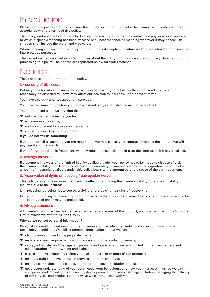### <span id="page-3-0"></span>Introduction

Please read the policy carefully to ensure that it meets your requirements. The insurer will provide insurance in accordance with the terms of this policy.

The policy, endorsements and the schedule shall be read together as one contract and any word or expression to which a specific meaning has been attached shall bear that specific meaning wherever it may appear. The singular shall include the plural and vice versa.

Where headings are used in this policy, they are purely descriptive in nature and are not intended to be used for interpretative purposes.

The named insured received important notices about their duty of disclosure and our privacy statement prior to purchasing this policy. The notices are replicated below for your reference.

### Notices

These notices do not form part of the policy.

#### 1. Your duty of disclosure

Before you enter into an insurance contract, you have a duty to tell us anything that you know, or could reasonably be expected to know, may affect our decision to insure you and on what terms.

You have this duty until we agree to insure you.

You have the same duty before you renew, extend, vary or reinstate an insurance contract.

You do not need to tell us anything that:

- ▼ reduces the risk we insure you for;
- ▼ is common knowledge;
- ▼ we know or should know as an insurer; or
- ▼ we waive your duty to tell us about.

#### **If you do not tell us something**

If you do not tell us anything you are required to, we may cancel your contract or reduce the amount we will pay you if you make a claim, or both.

If your failure to tell us is fraudulent, we may refuse to pay a claim and treat the contract as if it never existed.

#### 2. Average provision

If a payment in excess of the limit of liability available under your policy has to be made to dispose of a claim, the insurer's liability for 'Defence costs and supplementary payments' shall be such proportion thereof as the amount of indemnity available under this policy bears to the amount paid to dispose of the claim payments.

#### 3. Preservation of rights of recovery / subrogation waiver

This policy contains provisions that have the effect of excluding the insurer's liability for a loss or liability incurred due to the insured:

- (a) releasing, agreeing not to sue or, waiving or prejudicing its rights of recovery; or
- (b) entering into any agreement or compromise whereby any rights or remedies to which the insurer would be subrogated are or may be prejudiced.

#### 4. Privacu statement

AAI Limited trading as Vero Insurance is the insurer and issuer of this product, and is a member of the Suncorp Group, which we refer to as "the Group".

#### **Why do we collect personal information?**

Personal information is information or an opinion about an identified individual or an individual who is reasonably identifiable. We collect personal information so that we can:

- ▼ identify you and conduct appropriate checks;
- ▼ understand your requirements and provide you with a product or service;
- ▼ set up, administer and manage our products and services and systems, including the management and administration of underwriting and claims;
- ▼ assess and investigate any claims you make under one or more of our products;
- ▼ manage, train and develop our employees and representatives;
- ▼ manage complaints and disputes, and report to dispute resolution bodies; and
- ▼ get a better understanding of you, your needs, your behaviours and how you interact with us, so we can engage in product and service research, development and business strategy including managing the delivery of our services and products via the ways we communicate with you.

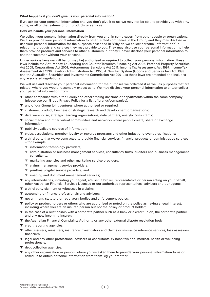#### **What happens if you don't give us your personal information?**

If we ask for your personal information and you don't give it to us, we may not be able to provide you with any, some, or all of the features of our products or services.

#### **How we handle your personal information**

We collect your personal information directly from you and, in some cases, from other people or organisations. We also provide your personal information to other related companies in the Group, and they may disclose or use your personal information for the purposes described in 'Why do we collect personal information?' in relation to products and services they may provide to you. They may also use your personal information to help them provide products and services to other customers, but they'll never disclose your personal information to another customer without your consent.

Under various laws we will be (or may be) authorised or required to collect your personal information. These laws include the Anti-Money Laundering and Counter-Terrorism Financing Act 2006, Personal Property Securities Act 2009, Corporations Act 2001, Autonomous Sanctions Act 2011, Income Tax Assessment Act 1997, Income Tax Assessment Act 1936, Taxation Administration Act 1953, A New Tax System (Goods and Services Tax) Act 1999 and the Australian Securities and Investments Commission Act 2001, as those laws are amended and includes any associated regulations.

We will use and disclose your personal information for the purposes we collected it as well as purposes that are related, where you would reasonably expect us to. We may disclose your personal information to and/or collect your personal information from:

- ▼ other companies within the Group and other trading divisions or departments within the same company (please see our Group Privacy Policy for a list of brands/companies);
- ▼ any of our Group joint ventures where authorised or required;
- ▼ customer, product, business or strategic research and development organisations;
- ▼ data warehouse, strategic learning organisations, data partners, analytic consultants;
- social media and other virtual communities and networks where people create, share or exchange information;
- ▼ publicly available sources of information;
- ▼ clubs, associations, member loyalty or rewards programs and other industry relevant organisations;
- ▼ a third party that we've contracted to provide financial services, financial products or administrative services – for example:
	- ▼ information technology providers,
	- ▼ administration or business management services, consultancy firms, auditors and business management consultants,
	- ▼ marketing agencies and other marketing service providers,
	- ▼ claims management service providers,
	- ▼ print/mail/digital service providers, and
	- ▼ imaging and document management services;
- ▼ any intermediaries, including your agent, adviser, a broker, representative or person acting on your behalf, other Australian Financial Services Licensee or our authorised representatives, advisers and our agents;
- ▼ a third party claimant or witnesses in a claim;
- ▼ accounting or finance professionals and advisers;
- ▼ government, statutory or regulatory bodies and enforcement bodies;
- ▼ policy or product holders or others who are authorised or noted on the policy as having a legal interest, including where you are an insured person but not the policy or product holder;
- ▼ in the case of a relationship with a corporate partner such as a bank or a credit union, the corporate partner and any new incoming insurer;
- ▼ the Australian Financial Complaints Authority or any other external dispute resolution body;
- ▼ credit reporting agencies;
- ▼ other insurers, reinsurers, insurance investigators and claims or insurance reference services, loss assessors, financiers;
- ▼ legal and any other professional advisers or consultants; W hospitals and, medical, health or wellbeing professionals;
- ▼ debt collection agencies;
- ▼ any other organisation or person, where you've asked them to provide your personal information to us or asked us to obtain personal information from them, eg your mother.

 $\overline{2}$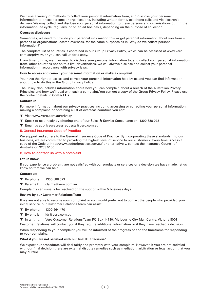We'll use a variety of methods to collect your personal information from, and disclose your personal information to, these persons or organisations, including written forms, telephone calls and via electronic delivery. We may collect and disclose your personal information to these persons and organisations during the information life cycle, regularly, or on an ad hoc basis, depending on the purpose of collection.

#### **Overseas disclosure**

Sometimes, we need to provide your personal information to – or get personal information about you from – persons or organisations located overseas, for the same purposes as in 'Why do we collect personal information?'.

The complete list of countries is contained in our Group Privacy Policy, which can be accessed at [www.vero.](http://www.vero.com.au/privacy) [com.au/privacy, o](http://www.vero.com.au/privacy)r you can call us for a copy.

From time to time, we may need to disclose your personal information to, and collect your personal information from, other countries not on this list. Nevertheless, we will always disclose and collect your personal information in accordance with privacy laws.

#### **How to access and correct your personal information or make a complaint**

You have the right to access and correct your personal information held by us and you can find information about how to do this in the Group Privacy Policy.

The Policy also includes information about how you can complain about a breach of the Australian Privacy Principles and how we'll deal with such a complaint. You can get a copy of the Group Privacy Policy. Please use the contact details in **Contact Us**.

#### **Contact us**

For more information about our privacy practices including accessing or correcting your personal information, making a complaint, or obtaining a list of overseas countries you can:

- ▼ Visit www.vero.com.au/privacy
- ▼ Speak to us directly by phoning one of our Sales & Service Consultants on: 1300 888 073
- ▼ Email us at privacyaccessrequests@vero.com.au

#### 5. General Insurance Code of Practice

We support and adhere to the General Insurance Code of Practice. By incorporating these standards into our business, we are committed to providing the highest level of service to our customers, every time. Access a copy of the Code at [http://www.codeofpractice.com.au/ o](http://www.codeofpractice.com.au/)r alternatively, contact the Insurance Council of Australia on 9253 5100.

#### 6. How to contact us with a complaint

#### **Let us know**

If you experience a problem, are not satisfied with our products or services or a decision we have made, let us know so that we can help.

#### **Contact us:**

- ▼ By phone: 1300 888 073
- ▼ By email: claims@vero.com.au

Complaints can usually be resolved on the spot or within 5 business days.

#### **Review by our Customer Relations Team**

If we are not able to resolve your complaint or you would prefer not to contact the people who provided your initial service, our Customer Relations team can assist:

- ▼ By phone: 1300 264 470
- ▼ By email: idr@vero.com.au
- ▼ In writing: Vero Customer Relations Team PO Box 14180, Melbourne City Mail Centre, Victoria 8001

Customer Relations will contact you if they require additional information or if they have reached a decision.

When responding to your complaint you will be informed of the progress of and the timeframe for responding to your complaint.

#### **What if you are not satisfied with our final IDR decision?**

We expect our procedures will deal fairly and promptly with your complaint. However, if you are not satisfied with our final decision there are external dispute remedies such as mediation, arbitration or legal action that you may pursue.

3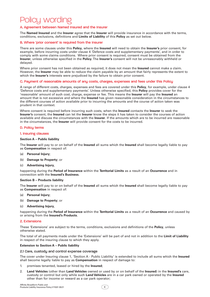## <span id="page-6-0"></span>Policy wording

#### A. Agreement between Named Insured and the Insurer

The **Named Insured** and the **Insurer** agree that the **Insurer** will provide insurance in accordance with the terms, conditions, exclusions, definitions and **Limits of Liability** of this **Policy** as set out below.

#### B. Where 'prior consent' is required from the Insurer

There are some clauses under this **Policy**, where the **Insured** will need to obtain the **Insurer's** prior consent, for example, before incurring costs under clause 4 'Defence costs and supplementary payments', and in order to comply with some claims conditions. Where prior consent is required, consent must be obtained from the **Insurer**, unless otherwise specified in the **Policy**. The **Insurer's** consent will not be unreasonably withheld or delayed.

Where prior consent has not been obtained as required, it does not mean the **Insured** cannot make a claim. However, the **Insurer** may be able to reduce the claim payable by an amount that fairly represents the extent to which the **Insurer's** interests were prejudiced by the failure to obtain prior consent.

#### C. Payment of reasonable amounts of any costs, charges, expenses and fees under this Policy

A range of different costs, charges, expenses and fees are covered under this **Policy**, for example, under clause 4 'Defence costs and supplementary payments'. Unless otherwise specified, this **Policy** provides cover for the 'reasonable' amount of such cost, charge, expense or fee. This means the **Insurer** will pay the **Insured** an amount that is not excessive and where the **Insured** has given reasonable consideration in the circumstances to the different courses of action available prior to incurring the amounts and the course of action taken was prudent in that context.

Where consent is required before incurring such costs, when the **Insured** contacts the **Insurer** to seek the **Insurer's** consent, the **Insured** can let the **Insurer** know the steps it has taken to consider the courses of action available and discuss the circumstances with the **Insurer**. If the amounts which are to be incurred are reasonable in the circumstances, the **Insurer** will provide consent for the costs to be incurred.

#### D. Policy terms

#### 1. Insuring clauses

#### **Section A – Public liability**

The **Insurer** will pay to or on behalf of the **Insured** all sums which the **Insured** shall become legally liable to pay as **Compensation** in respect of:

- (a) **Personal Injury**;
- (b) **Damage to Property**; or
- (c) **Advertising Injury**,

happening during the **Period of Insurance** within the **Territorial Limits** as a result of an **Occurrence** and in connection with the **Insured's Business**.

#### **Section B – Products liability**

The **Insurer** will pay to or on behalf of the **Insured** all sums which the **Insured** shall become legally liable to pay as **Compensation** in respect of:

- (a) **Personal Injury**;
- (b) **Damage to Property**; or
- (c) **Advertising Injury**,

happening during the **Period of Insurance** within the **Territorial Limits** as a result of an **Occurrence** and caused by or arising from the **Insured's Products**.

#### 2. Extensions

These 'Extensions' are subject to the terms, conditions, exclusions and definitions of the **Policy**, unless otherwise stated.

The total of all payments made under the 'Extensions' will be part of and not in addition to the **Limit of Liability**  in respect of the insuring clause to which they apply.

#### **Extension to Section A – Public liability**

#### 2.1 Care, custody and control expense coverage

The cover under Insuring clause 1, 'Section A - Public Liability' is extended to include all sums which the **Insured**  shall become legally liable to pay as **Compensation** in respect of damage to:

- 1. premises tenanted, leased or hired by the **Insured**;
- 2. **Land Vehicles** (other than **Land Vehicles** owned or used by or on behalf of the **Insured**) in the **Insured's** care, custody or control but only while such **Land Vehicles** are in a car park owned or operated by the **Insured** other than for income or reward as a car park operator;

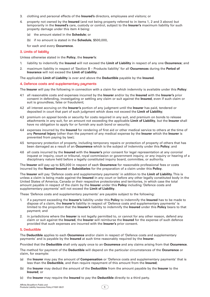- <span id="page-7-0"></span>3. clothing and personal effects of the **Insured's** directors, employees and visitors; or
- 4. property not owned by the **Insured** (and not being property referred to in items 1, 2 and 3 above) but temporarily in the **Insured's** care, custody or control, subject to the **Insurer's** maximum liability for such property damage under this item 4 being:
	- (a) the amount stated in the **Schedule**; or
	- (b) if no amount is stated in the **Schedule**, \$500,000,

for each and every **Occurrence**.

#### 3. Limits of liability

Unless otherwise stated in the **Policy**, the **Insurer's**:

- 1. liability to indemnify the **Insured** will not exceed the **Limit of Liability** in respect of any one **Occurrence**; and
- 2. maximum liability in respect of 'Section B Products liability' for all **Occurrences** during the **Period of Insurance** will not exceed the **Limit of Liability**.

The applicable **Limit of Liability** is over and above the **Deductible** payable by the **Insured**.

#### 4. Defence costs and supplementary payments

The **Insurer** will pay the following in connection with a claim for which indemnity is available under this **Policy**:

- 4.1 all reasonable costs and expenses incurred by the **Insurer** and/or by the **Insured** with the **Insurer's** prior consent in defending, investigating or settling any claim or suit against the **Insured**, even if such claim or suit is groundless, false or fraudulent;
- 4.2 all interest accruing on the **Insurer's** portion of any judgment until the **Insurer** has paid, tendered or deposited in court that part of such judgment which does not exceed the **Limit of Liability**;
- 4.3 premium on appeal bonds or security for costs required in any suit, and premium on bonds to release attachments in any suit, for an amount not exceeding the applicable **Limit of Liability**, but the **Insurer** shall have no obligation to apply for or furnish any such bond or security;
- 4.4 expenses incurred by the **Insured** for rendering of first aid or other medical service to others at the time of any **Personal Injury** (other than the payment of any medical expense by the **Insurer** which the **Insurer** is prevented from paying by law);
- 4.5 temporary protection of property, including temporary repairs or protection of property of others that has been damaged as a result of an **Occurrence** which is the subject of indemnity under this **Policy**; and
- 4.6 all costs incurred by the **Insured** with the **Insurer's** prior consent for legal representation at any coronial inquest or inquiry, court or tribunal, royal commission or government inquiry, or any inquiry or hearing of a disciplinary nature held before a legally constituted inquiry board, committee, or authority.

The **Insurer** will pay up to \$25,000 in respect of each **Occurrence** for reasonable professional fees or costs incurred by the **Named Insured** or **Subsidiaries** for the preparation of a claim under this **Policy**.

The **Insurer** will pay 'Defence costs and supplementary payments' in addition to the **Limit of Liability**. This is unless a claim is being made against the **Insured** in any court or before any other legally constituted body in the United States of America, Canada or their respective protectorates and territories, in which case the total amount payable in respect of the claim by the **Insurer** under this **Policy** including 'Defence costs and supplementary payments' will not exceed the **Limit of Liability**.

These 'Defence costs and supplementary payments' are payable subject to the following:

- 1. if a payment exceeding the **Insurer's** liability under this **Policy** to indemnify the **Insured** has to be made to dispose of a claim, the **Insurer's** liability in respect of 'Defence costs and supplementary payments' is limited to the proportion that the **Insurer's** liability to indemnify the **Insured** under this **Policy** bears to that payment; and
- 2. in jurisdictions where the **Insurer** is not legally permitted to, or cannot for any other reason, defend any claim or suit against the **Insured**, the **Insurer** will reimburse the **Insured** for the expense of such defence provided that such expenses are incurred with the **Insurer's** prior consent.

#### 5. Deductible

The **Deductible** applies to each **Occurrence** and/or claim in respect of 'Defence costs and supplementary payments' and is payable by the **Insured** at such time reasonably required by the **Insurer**.

Provided that the **Deductible** shall only apply once to an **Occurrence** and any claims arising from that **Occurrence**.

The method for payment of the **Deductible** will depend on the particular circumstances of the **Occurrence** or claim, for example:

- (a) the **Insurer** may pay the amount of **Compensation** or 'Defence costs and supplementary payments' that is less than the **Deductible**, and then require repayment of this amount from the **Insured**;
- (b) the **Insurer** may deduct the amount of the **Deductible** from the amount payable by the **Insurer** to the **Insured**; or
- (c) the **Insurer** may require the **Insured** to pay the **Deductible** directly to a third party.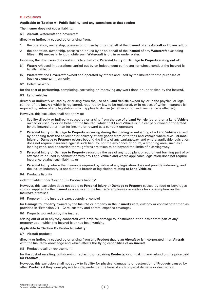#### <span id="page-8-0"></span>6. Exclusions

#### **Applicable to 'Section A - Public liability' and any extensions to that section**

The **Insurer** does not cover liability:

6.1 Aircraft, watercraft and hovercraft

directly or indirectly caused by or arising from:

- 1. the operation, ownership, possession or use by or on behalf of the **Insured** of any **Aircraft** or **Hovercraft**; or
- 2. the operation, ownership, possession or use by or on behalf of the **Insured** of any **Watercraft** exceeding fifteen (15) metres in length, while such **Watercraft** is on, in or under water.

However, this exclusion does not apply to claims for **Personal Injury** or **Damage to Property** arising out of:

- (a) **Watercraft** used in operations carried out by an independent contractor for whose conduct the **Insured** is legally liable; or
- (b) **Watercraft** and **Hovercraft** owned and operated by others and used by the **Insured** for the purposes of business entertainment only.
- 6.2 Defective work

for the cost of performing, completing, correcting or improving any work done or undertaken by the **Insured**.

6.3 Land vehicles

directly or indirectly caused by or arising from the use of a **Land Vehicle** owned by, or in the physical or legal control of the **Insured** which is registered, required by law to be registered, or in respect of which insurance is required by virtue of any legislation which applies to its use (whether or not such insurance is effected).

However, this exclusion shall not apply to:

- 1. liability directly or indirectly caused by or arising from the use of a **Land Vehicle** (other than a **Land Vehicle**  owned or used by or on behalf of the **Insured**) whilst that **Land Vehicle** is in a car park owned or operated by the **Insured** other than for income or reward as a car park operator;
- 2. **Personal Injury** or **Damage to Property** occurring during the loading or unloading of a **Land Vehicle** caused by or arising from the collection or delivery of any goods from or to the **Land Vehicle** where such **Personal Injury** or **Damage to Property** occurs beyond the limits of any carriageway, and where applicable legislation does not require insurance against such liability. For the avoidance of doubt, a stopping area, such as a loading zone, and pedestrian thoroughfares are taken to be beyond the limits of a carriageway;
- 3. **Personal Injury** or **Damage to Property** caused by the use of any tool, plant or equipment forming part of or attached to or used in connection with any **Land Vehicle** and where applicable legislation does not require insurance against such liability; or
- 4. **Personal Injury** where the insurance required by virtue of any legislation does not provide indemnity, and the lack of indemnity is not due to a breach of legislation relating to **Land Vehicles**.
- 6.4 Products liability

indemnifiable under 'Section B – Products liability'.

However, this exclusion does not apply to **Personal Injury** or **Damage to Property** caused by food or beverages sold or supplied by the **Insured** as a service to the **Insured's** employees or visitors for consumption on the **Insured's** premises.

6.5 Property in the insured's care, custody or control

for **Damage to Property** owned by the **Insured** or property in the **Insured's** care, custody or control other than as provided in 'Extension 2.1 – Care, custody and control expense coverage'.

6.6 Property worked on by the insured

arising out of or in any way connected with physical damage to, destruction of or loss of that part of any property upon which the **Insured** is or has been working.

#### **Applicable to 'Section B - Products Liability'**

6.7 Aircraft products

directly or indirectly caused by or arising from any **Product** that is an **Aircraft** or is incorporated in an **Aircraft**  with the **Insured's** knowledge and which affects the flying capabilities of an **Aircraft**.

6.8 Product recall or replacement

for the cost of recalling, withdrawing, replacing or repairing **Products**, or of making any refund on the price paid for **Products**.

However, this exclusion shall not apply to liability for physical damage to or destruction of **Products** caused by other **Products** if they were physically independent at the time of such physical damage or destruction.

6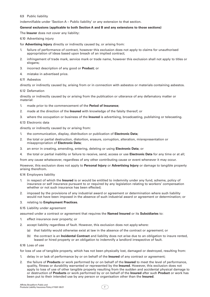#### <span id="page-9-0"></span>6.9 Public liability

indemnifiable under 'Section A – Public liability' or any extension to that section.

#### **General exclusions (applicable to both Section A and B and any extensions to those sections)**

The **Insurer** does not cover any liability:

6.10 Advertising injury

for **Advertising Injury** directly or indirectly caused by, or arising from:

- 1. failure of performance of contract, however this exclusion does not apply to claims for unauthorised appropriation of ideas based upon breach of an implied contract;
- 2. infringement of trade mark, service mark or trade name, however this exclusion shall not apply to titles or slogans;
- 3. incorrect description of any good or **Product**; or
- 4. mistake in advertised price.

#### 6.11 Asbestos

directly or indirectly caused by, arising from or in connection with asbestos or materials containing asbestos.

#### 6.12 Defamation

directly or indirectly caused by or arising from the publication or utterance of any defamatory matter or material:

- 1. made prior to the commencement of the **Period of Insurance**;
- 2. made at the direction of the **Insured** with knowledge of the falsity thereof; or
- 3. where the occupation or business of the **Insured** is advertising, broadcasting, publishing or telecasting.

#### 6.13 Electronic data

directly or indirectly caused by or arising from:

- 1. the communication, display, distribution or publication of **Electronic Data**;
- 2. the total or partial destruction, distortion, erasure, corruption, alteration, misrepresentation or misappropriation of **Electronic Data**;
- 3. an error in creating, amending, entering, deleting or using **Electronic Data**; or
- 4. the total or partial inability or failure to receive, send, access or use **Electronic Data** for any time or at all;

from any cause whatsoever, regardless of any other contributing cause or event whenever it may occur.

However, this exclusion does not apply to **Personal Injury** or **Advertising Injury** or damage to tangible property arising therefrom.

6.14 Employers liability

- 1. in respect of which the **Insured** is or would be entitled to indemnity under any fund, scheme, policy of insurance or self insurance pursuant to or required by any legislation relating to workers' compensation whether or not such insurance has been effected;
- 2. imposed by the provisions of any industrial award or agreement or determination where such liability would not have been imposed in the absence of such industrial award or agreement or determination; or

#### 3. relating to **Employment Practices**.

6.15 Liability under agreement

assumed under a contract or agreement that requires the **Named Insured** or its **Subsidiaries** to:

- 1. effect insurance over property; or
- 2. accept liability regardless of fault. However, this exclusion does not apply where:
	- (a) that liability would otherwise exist at law in the absence of the contract or agreement; or
	- (b) the contract is an **Incidental Contract** and liability does not arise due to an obligation to insure rented, leased or hired property or an obligation to indemnify a landlord irrespective of fault.

#### 6.16 Loss of use

for loss of use of tangible property, which has not been physically lost, damaged or destroyed, resulting from:

- 1. delay in or lack of performance by or on behalf of the **Insured** of any contract or agreement;
- 2. the failure of **Products** or work performed by or on behalf of the **Insured** to meet the level of performance, quality, fitness or durability warranted or represented by the **Insured**. However, this exclusion does not apply to loss of use of other tangible property resulting from the sudden and accidental physical damage to or destruction of **Products** or work performed by or on behalf of the **Insured** after such **Product** or work has been put to their intended use by any person or organisation other than the **Insured**.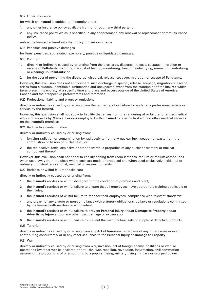#### <span id="page-10-0"></span>6.17 Other insurance

for which an **Insured** is entitled to indemnity under:

- 1. any other insurance policy available from or through any third party; or
- 2. any insurance policy which is specified in any endorsement, any renewal or replacement of that insurance policy,

unless the **Insured** entered into that policy in their own name.

6.18 Penalties and punitive damages

for fines, penalties, aggravated, exemplary, punitive or liquidated damages.

6.19 Pollution

- 1. directly or indirectly caused by or arising from the discharge, dispersal, release, seepage, migration or escape of **Pollutants**, including the cost of testing, monitoring, treating, detoxifying, removing, neutralising or cleaning up **Pollutants**; or
- 2. for the cost of preventing the discharge, dispersal, release, seepage, migration or escape of **Pollutants**.

However, this exclusion does not apply where such discharge, dispersal, release, seepage, migration or escape arises from a sudden, identifiable, unintended and unexpected event from the standpoint of the **Insured** which takes place in its entirety at a specific time and place and occurs outside of the United States of America, Canada and their respective protectorates and territories.

6.20 Professional liability and errors or omissions

directly or indirectly caused by or arising from the rendering of or failure to render any professional advice or service by the **Insured**.

However, this exclusion shall not apply to liability that arises from the rendering of or failure to render medical advice or services by **Medical Persons** employed by the **Insured** to provide first aid and other medical services on the **Insured's** premises.

#### 6.21 Radioactive contamination

directly or indirectly caused by or arising from:

- 1. ionising radiation or contamination by radioactivity from any nuclear fuel, weapon or waste from the combustion or fission of nuclear fuel; or
- 2. the radioactive, toxic, explosive or other hazardous properties of any nuclear assembly or nuclear component thereof.

However, this exclusion shall not apply to liability arising from radio-isotopes, radium or radium compounds when used away from the place where such are made or produced and when used exclusively incidental to ordinary industrial, educational, medical or research pursuits.

6.22 Reckless or willful failure to take care

directly or indirectly caused by or arising from:

- 1. the **Insured's** reckless or willful disregard for the condition of premises and plant;
- 2. the **Insured's** reckless or willful failure to ensure that all employees have appropriate training applicable to their roles;
- 3. the **Insured's** reckless of willful failure to monitor their employees' compliance with relevant standards;
- 4. any breach of any statute or non-compliance with statutory obligations, by-laws or regulations committed by the **Insured** with reckless or wilful intent;
- 5. the **Insured's** reckless or willful failure to prevent **Personal Injury** and/or **Damage to Property** and/or **Advertising Injury** and/or any other loss, damage or expense; or
- 6. the Insured's reckless or willful failure to prevent the manufacture, sale or supply of defective Products.

#### 6.23 Terrorism

directly or indirectly caused by or arising from any **Act of Terrorism**, regardless of any other cause or event contributing concurrently or in any other sequence to the **Personal Injury** or **Damage to Property**.

#### 6.24 War

directly or indirectly caused by or arising from war, invasion, act of foreign enemy, hostilities or warlike operations (whether war be declared or not), civil war, rebellion, revolution, insurrection, civil commotion assuming the proportions of or amounting to a popular rising, military rising, military or usurped power.

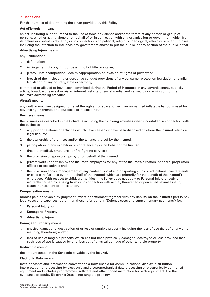#### <span id="page-11-0"></span>7. Definitions

For the purpose of determining the cover provided by this **Policy**:

#### **Act of Terrorism** means:

an act, including but not limited to the use of force or violence and/or the threat of any person or group of persons, whether acting alone or on behalf of or in connection with any organisation or government which from its nature or context is done for, or in connection with political, religious, ideological, ethnic or similar purposes including the intention to influence any government and/or to put the public, or any section of the public in fear.

#### **Advertising Injury** means:

any unintentional:

- 1. defamation;
- 2. infringement of copyright or passing off of title or slogan;
- 3. piracy, unfair competition, idea misappropriation or invasion of rights of privacy; or
- 4. breach of the misleading or deceptive conduct provisions of any consumer protection legislation or similar legislation of any country, state or territory,

committed or alleged to have been committed during the **Period of Insurance** in any advertisement, publicity article, broadcast, telecast or via an internet website or social media, and caused by or arising out of the **Insured's** advertising activities.

#### **Aircraft** means:

any craft or machine designed to travel through air or space, other than unmanned inflatable balloons used for advertising or promotional purposes or model aircraft.

#### **Business** means:

the business as described in the **Schedule** including the following activities when undertaken in connection with the business:

- 1. any prior operations or activities which have ceased or have been disposed of where the **Insured** retains a legal liability;
- 2. the ownership of premises and/or the tenancy thereof by the **Insured**;
- 3. participation in any exhibition or conference by or on behalf of the **Insured**;
- 4. first aid, medical, ambulance or fire fighting services;
- 5. the provision of sponsorships by or on behalf of the **Insured**;
- 6. private work undertaken by the **Insured's** employees for any of the **Insured's** directors, partners, proprietors, officers or executives; and
- 7. the provision and/or management of any canteen, social and/or sporting clubs or educational, welfare and/ or child care facilities by or on behalf of the **Insured**, which are primarily for the benefit of the **Insured's**  employees. With respect to childcare facilities, this **Policy** does not apply to **Personal Injury** directly or indirectly caused by, arising from or in connection with actual, threatened or perceived sexual assault, sexual harassment or molestation.

#### **Compensation** means:

monies paid or payable by judgment, award or settlement together with any liability on the **Insured's** part to pay legal costs and expenses (other than those referred to in 'Defence costs and supplementary payments') for:

- 1. **Personal Injury**; or
- 2. **Damage to Property**;
- 3. **Advertising Injury.**

#### **Damage to Property** means:

- 1. physical damage to, destruction of or loss of tangible property including the loss of use thereof at any time resulting therefrom; and/or
- 2. loss of use of tangible property which has not been physically damaged, destroyed or lost, provided that such loss of use is caused by or arises out of physical damage of other tangible property.

#### **Deductible** means:

the amount stated in the **Schedule** payable by the **Insured**.

#### **Electronic Data** means:

facts, concepts and information converted to a form usable for communications, display, distribution, interpretation or processing by electronic and electromechanical data processing or electronically controlled equipment and includes programmes, software and other coded instruction for such equipment. For the avoidance of doubt, **Electronic Data** is not tangible property.

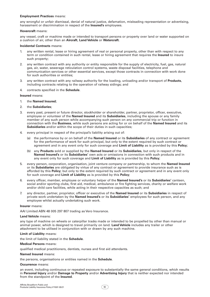#### **Employment Practices** means:

any wrongful or unfair dismissal, denial of natural justice, defamation, misleading representation or advertising, harassment or discrimination in respect of the **Insured's** employees.

#### **Hovercraft** means:

any vessel, craft or machine made or intended to transport persons or property over land or water supported on a cushion of air, other than an **Aircraft**, **Land Vehicle** or **Watercraft**.

#### **Incidental Contracts** means:

- 1. any written rental, lease or hiring agreement of real or personal property, other than with respect to any term or condition contained in such rental, lease or hiring agreement that requires the **Insured** to insure such property;
- 2. any written contract with any authority or entity responsible for the supply of electricity, fuel, gas, natural gas, air, water, sewerage reticulation control systems, waste disposal facilities, telephone and communication services or other essential services, except those contracts in connection with work done for such authorities or entities;
- 3. any written contract with any railway authority for the loading, unloading and/or transport of **Products**, including contracts relating to the operation of railway sidings; and
- 4. contracts specified in the **Schedule**.

**Insured** means:

- 1. the **Named Insured**;
- 2. the **Subsidiaries**;
- 3. every past, present or future director, stockholder or shareholder, partner, proprietor, officer, executive, employee or volunteer of the **Named Insured** and its **Subsidiaries**, including the spouse or any family member of any such person while accompanying such person on any commercial trip or function in connection with the **Business**, while such persons are acting for or on behalf of the **Named Insured** and its **Subsidiaries** and/or within the scope of their duties in such capacities;
- 4. every principal in respect of the principal's liability arising out of:
	- (a) the performance by or on behalf of the **Named Insured** or its **Subsidiaries** of any contract or agreement for the performance of work for such principal, but only to the extent required by such contract or agreement and in any event only for such coverage and **Limit of Liability** as is provided by this **Policy**;
	- (b) any **Products** sold or supplied by the **Named Insured** or its **Subsidiaries**, but only in respect of the **Named Insured's** or its **Subsidiaries'** own acts or omissions in connection with such products and in any event only for such coverage and **Limit of Liability** as is provided by this **Policy**;
- 5. every person, corporation, organisation, joint venture company or partnership, to whom the **Named Insured**  or its **Subsidiaries** are obligated by virtue of any contract or agreement to provide insurance such as is afforded by this **Policy**; but only to the extent required by such contract or agreement and in any event only for such coverage and **Limit of Liability** as is provided by this **Policy**;
- 6. every officer, member, employee or voluntary helper of the **Named Insured's** or its **Subsidiaries'** canteen, social and/or sporting clubs, first aid, medical, ambulance or fire fighting services, charity or welfare work and/or child care facilities, while acting in their respective capacities as such; and
- 7. any director, partner, proprietor, officer or executive of the **Named Insured** or its **Subsidiaries** in respect of private work undertaken by the **Named Insured's** or its **Subsidiaries'** employees for such person, and any employee whilst actually undertaking such work.

#### **Insurer** means:

AAI Limited ABN 48 005 297 807 trading as Vero Insurance.

#### **Land Vehicle** means:

any type of machine on wheels or caterpillar tracks made or intended to be propelled by other than manual or animal power, which is designed to travel primarily on land. **Land Vehicle** includes any trailer or other attachment to be utilised in conjunction with or drawn by any such machine.

#### **Limit of Liability** means:

the limit of liability stated in the **Schedule**.

#### **Medical Persons** means:

qualified medical practitioners, dentists, nurses and first aid attendants.

#### **Named Insured** means:

the persons, organisations or entities named in the **Schedule**.

#### **Occurrence** means:

an event, including continuous or repeated exposure to substantially the same general conditions, which results in **Personal Injury** and/or **Damage to Property** and/or **Advertising Injury** that is neither expected nor intended from the standpoint of the **Insured**.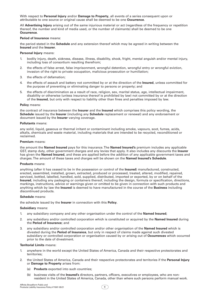With respect to **Personal Injury** and/or **Damage to Property**, all events of a series consequent upon or attributable to one source or original cause shall be deemed to be one **Occurrence**.

All **Advertising Injury** arising out of the same injurious material or act (regardless of the frequency or repetition thereof, the number and kind of media used, or the number of claimants) shall be deemed to be one **Occurrence**.

#### **Period of Insurance** means:

the period stated in the **Schedule** and any extension thereof which may be agreed in writing between the **Insured** and the **Insurer**.

#### **Personal Injury** means:

- 1. bodily injury, death, sickness, disease, illness, disability, shock, fright, mental anguish and/or mental injury, including loss of consortium resulting therefrom;
- 2. the effects of false arrest, false imprisonment, wrongful detention, wrongful entry or wrongful eviction, invasion of the right to private occupation, malicious prosecution or humiliation;
- 3. the effects of defamation;
- 4. the effects of assault and battery not committed by or at the direction of the **Insured**, unless committed for the purpose of preventing or eliminating danger to persons or property; and
- 5. the effects of discrimination as a result of race, religion, sex, marital status, age, intellectual impairment, disability or otherwise (unless insurance thereof is prohibited by law) not committed by or at the direction of the **Insured**, but only with respect to liability other than fines and penalties imposed by law.

#### **Policy** means:

the contract of insurance between the **Insurer** and the **Insured** which comprises this policy wording, the **Schedule** issued by the **Insurer** (including any **Schedule** replacement or renewal) and any endorsement or document issued by the **Insurer** varying coverage.

#### **Pollutants** means:

any solid, liquid, gaseous or thermal irritant or contaminant including smoke, vapours, soot, fumes, acids, alkalis, chemicals and waste material, including materials that are intended to be recycled, reconditioned or reclaimed.

#### **Premium** means:

the amount the **Named Insured** pays for this insurance. The **Named Insured's** premium includes any applicable GST, stamp duty, other government charges and any levies that apply. It also includes any discounts the **Insurer** has given the **Named Insured**, and these are applied before the addition of any applicable government taxes and charges. The amount of these taxes and charges will be shown on the **Named Insured's Schedule**.

#### **Products** means:

anything (after it has ceased to be in the possession or control of the **Insured**) manufactured, constructed, erected, assembled, installed, grown, extracted, produced or processed, treated, altered, modified, repaired, serviced, bottled, labelled, handled, sold, supplied, distributed, imported or exported, by or on behalf of the **Insured**, including any packaging or containers thereof, including the design, formula or specification, directions, markings, instructions, advice or warnings given or omitted to be given in connection with such products and anything which by law the **Insured** is deemed to have manufactured in the course of the **Business** including discontinued products.

#### **Schedule** means:

the schedule issued by the **Insurer** in connection with this **Policy**.

#### **Subsidiary** means:

- 1. any subsidiary company and any other organisation under the control of the **Named Insured**;
- 2. any subsidiary and/or controlled corporation which is constituted or acquired by the **Named Insured** during the **Period of Insurance**; and
- 3. any subsidiary and/or controlled corporation and/or other organisation of the **Named Insured** which is divested during the **Period of Insurance**, but only in respect of claims made against such divested subsidiary or controlled corporation or organisation caused by or arising out of **Occurrences** which occurred prior to the date of divestment.

#### **Territorial Limits** means:

- 1. anywhere in the world except the United States of America, Canada and their respective protectorates and territories;
- 2. the United States of America, Canada and their respective protectorates and territories if the **Personal Injury**  or **Damage to Property** arises from:
	- (a) **Products** exported into such countries;
	- (b) business visits of the **Insured's** directors, partners, officers, executives or employees, who are nonresident in the United States of America, Canada, other than where such persons perform manual work.

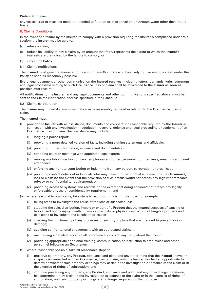#### <span id="page-14-0"></span>**Watercraft** means:

any vessel, craft or machine made or intended to float on or in or travel on or through water other than model boats.

#### 8. Claims Conditions

In the event of a failure by the **Insured** to comply with a provision requiring the **Insured's** compliance under this section, the **Insurer** may be able to:

- (a) refuse a claim;
- (b) reduce its liability to pay a claim by an amount that fairly represents the extent to which the **Insurer's** interests are prejudiced by the failure to comply; or
- (c) cancel the **Policy**.
- 8.1 Claims notifications

The **Insured** must give the **Insurer** a notification of any **Occurrence** or loss likely to give rise to a claim under this **Policy** as soon as reasonably possible.

Every legal document or other communication the **Insured** receives (including letters, demands, writs, summons and legal processes) relating to such **Occurrence**, loss or claim shall be forwarded to the **Insurer** as soon as possible after receipt.

All notifications to the **Insurer**, and any legal documents and other communications specified above, must be sent to the Claims Notification address specified in the **Schedule**.

8.2 Claims co-operation

The **Insurer** may undertake any investigation as is reasonably required in relation to the **Occurrence**, loss or claim.

#### The **Insured** must:

- (a) provide the **Insurer** with all assistance, documents and co-operation reasonably required by the **Insurer** in connection with any investigation, negotiation, recovery, defence and legal proceeding or settlement of an **Occurrence**, loss or claim. This assistance may include:
	- (i) lodging a police report;
	- (ii) providing a more detailed version of facts, including signing statements and affidavits;
	- (iii) providing further information, evidence and documentation;
	- (iv) attending court or meetings with appointed legal experts;
	- (v) making available directors, officers, employees and other personnel for interviews, meetings and court attendance;
	- (vi) enforcing any right to contribution or indemnity from any person, corporation or organisation;
	- (vii) providing contact details of individuals who may have information that is relevant to the **Occurrence**, loss or claim (to the extent that the provision of such details would not breach any legally enforceable privacy or confidentiality requirement); or
	- (viii) providing access to systems and records (to the extent that doing so would not breach any legally enforceable privacy or confidentiality requirement); and
- (b) where reasonably practicable, take steps to avoid or diminish further loss, for example:
	- (i) taking steps to investigate the cause of the loss or suspected loss;
	- (ii) stopping the sale, distribution, import or export of a **Product** that the **Insured** suspects of causing or has caused bodily injury, death, illness or disability or physical destruction of tangible property and take steps to investigate the suspicion or cause;
	- (iii) checking the functionality of any processes or security in place that are intended to prevent loss or damage;
	- (iv) avoiding confrontational engagement with an aggravated claimant;
	- (v) maintaining a detailed record of all communications with any party about the loss; or
	- (vi) providing appropriate additional training, communication or instruction to employees and other personnel following an **Occurrence**;
- (c) where reasonably possible, take all reasonable steps to:
	- (i) preserve all property, any **Product**, appliance and plant and any other thing that the **Insured** knows or suspects is connected with an **Occurrence**, loss or claim, until the **Insurer** has had an opportunity to determine whether such property or things may assist in the investigation or defence of the claim or in the exercise of rights of subrogation; and
	- (ii) continue preserving any property, any **Product**, appliance and plant and any other things the **Insurer** has determined may assist in the investigation or defence of the claim or in the exercise of rights of subrogation, until such property or things are no longer required for that purpose.

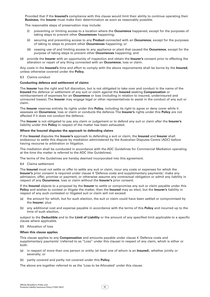<span id="page-15-0"></span>Provided that if the **Insured's** compliance with this clause would limit their ability to continue operating their **Business**, the **Insurer** must make their determination as soon as reasonably possible.

The reasonable steps of preservation may include:

- (i) preventing or limiting access to a location where the **Occurrence** happened, except for the purposes of taking steps to prevent other **Occurrences** happening;
- (ii) securing and preventing access to any **Product** connected with an **Occurrence**, except for the purposes of taking to steps to prevent other **Occurrences** happening; or
- (iii) ceasing use of and limiting access to any appliance or plant that caused the **Occurrence**, except for the purpose of taking steps to prevent other **Occurrences** happening; and
- (d) provide the **Insurer** with an opportunity of inspection and obtain the **Insurer's** consent prior to effecting the alteration or repair of any thing connected with an **Occurrence**, loss or claim.

Any costs in the **Insured's** time and effort to comply with the above requirements shall be borne by the **Insured**, unless otherwise covered under the **Policy**.

#### 8.3 Claims conduct

#### **Conducting defence and settlement of claims**

The **Insurer** has the right and full discretion, but is not obligated to take over and conduct in the name of the **Insured** the defence or settlement of any suit or claim against the **Insured** seeking **Compensation** or reimbursement of expenses for an **Occurrence** or loss (including in relation to insured, underinsured and uninsured losses). The **Insurer** may engage legal or other representatives to assist in the conduct of any suit or claim.

The **Insurer** reserves entirely its rights under this **Policy**, including its right to agree or deny cover while it assesses an **Occurrence**, loss or claim or conducts the defence. The **Insurer's** rights under this **Policy** are not affected if it does not conduct the defence.

The **Insurer** is not obligated to pay any claim or judgement or to defend any suit or claim after the **Insurer's** liability under this **Policy** in respect of the matter has been exhausted.

#### **Where the Insured disputes the approach to defending claims**

If the **Insured** disputes the **Insurer's** approach to defending a suit or claim, the **Insured** and **Insurer** shall endeavour to settle this dispute by mediation administered by the Australian Disputes Centre (ADC) before having recourse to arbitration or litigation.

The mediation shall be conducted in accordance with the ADC Guidelines for Commercial Mediation operating at the time the matter is referred to the ADC (the Guidelines).

The terms of the Guidelines are hereby deemed incorporated into this agreement.

#### 8.4 Claims settlement

The **Insured** must not settle or offer to settle any suit or claim, incur any costs or expenses for which the **Insurer's** prior consent is required under clause 4 'Defence costs and supplementary payments', make any admission, offer, promise or payment, or otherwise assume any contractual obligation or admit any liability in respect of any **Occurrence**, loss or claim without the **Insurer's** prior consent.

If the **Insured** objects to a proposal by the **Insurer** to settle or compromise any suit or claim payable under this **Policy** and wishes to contest or litigate the matter, then the **Insured** may so elect, but the **Insurer's** liability in respect of any such contested or litigated suit or claim will not exceed:

- (a) the amount for which, but for such election, the suit or claim could have been settled or compromised by the **Insurer**; plus
- (b) any additional cost and expense payable in accordance with the terms of this **Policy** and incurred up to the time of such election,

subject to the **Deductible** and to the **Limit of Liability** or the amount of any specified limit applicable to a specific clause where applicable.

#### 8.5 Allocation of loss

#### **When this clause applies**

This clause applies to any **Compensation** and amounts payable under clause 4 'Defence costs and supplementary payments' (referred to as "Loss" under this clause) in respect of any claim, which is either or both:

- (a) in respect of more than one person or entity (at least one of whom is an **Insured**), whether jointly or severally; or
- (b) partly covered and partly not covered under this **Policy.**

The above are together referred to as the 'Loss to be Allocated' under this clause.

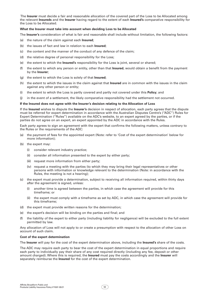<span id="page-16-0"></span> The **Insurer** must decide a fair and reasonable allocation of the covered part of the Loss to be Allocated among the relevant **Insureds** and the **Insurer** having regard to the extent of each **Insured's** comparative responsibility for the Loss to be Allocated.

#### **What the Insurer must take into account when deciding Loss to be Allocated**

The **Insurer's** consideration of what is fair and reasonable shall include without limitation, the following factors:

- (a) the nature of the claim against each **Insured**;
- (b) the issues of fact and law in relation to each **Insured**;
- (c) the content and the manner of the conduct of any defence of the claim;
- (d) the relative degree of personal responsibility for the Loss;
- (e) the extent to which the **Insured's** responsibility for the Loss is joint, several or shared;
- (f) the extent to which any person or entity, other than that **Insured**, would obtain a benefit from the payment by the **Insurer**;
- (g) the extent to which the Loss is solely of that **Insured**;
- (h) the extent to which the issues in the claim against that **Insured** are in common with the issues in the claim against any other person or entity;
- (i) the extent to which the Loss is partly covered and partly not covered under this **Policy**; and
- (j) in the event of a settlement, the likely comparative responsibility had the settlement not occurred.

#### **If the Insured does not agree with the Insurer's decision relating to the Allocation of Loss**

If the **Insured** wishes to dispute the **Insurer's** decision in respect of allocation, each party agrees that the dispute must be referred for expert determination in accordance with the Australian Disputes Centre's ("ADC") Rules for Expert Determination ("Rules") available on the ADC's website, to an expert agreed by the parties, or if the parties do not agree on an expert, an expert appointed by the ADC in accordance with the Rules.

Each party agrees to sign an agreement with the expert that confirms the following matters, unless contrary to the Rules or the requirements of the ADC:

- (a) the payment of fees for the appointed expert (Note: refer to 'Cost of the expert determination' below for more information);
- (b) the expert may:
	- (i) consider relevant industry practice;
	- (ii) consider all information presented to the expert by either party;
	- (iii) request more information from either party;
	- (iv) request a meeting with the parties (to which they may bring their legal representatives or other persons with information or knowledge relevant to the determination (Note: in accordance with the Rules, the meeting is not a hearing);
- (c) the expert must provide a determination, subject to receiving all information required, within thirty days after the agreement is signed, unless:
	- (i) another time is agreed between the parties, in which case the agreement will provide for this timeframe; or
	- (ii) the expert must comply with a timeframe as set by ADC, in which case the agreement will provide for this timeframe;
- (d) the expert must provide written reasons for the determination;
- (e) the expert's decision will be binding on the parties and final; and
- (f) the liability of the expert to either party (including liability for negligence) will be excluded to the full extent permitted by law.

Any allocation of Loss will not apply to or create a presumption with respect to the allocation of other Loss on account of such claim**.**

#### **Cost of the expert determination**

The **Insurer** will pay for the cost of the expert determination above, including the **Insured's** share of the costs.

The ADC may require each party to bear the cost of the expert determination in equal proportions and require each party to individually pay their share of any cost required directly (including any fee, deposit or other amount charged). Where this is required, the **Insured** must pay the costs accordingly and the **Insurer** will separately reimburse the **Insured** for the cost of the expert determination.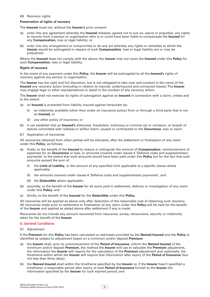#### <span id="page-17-0"></span>8.6 Recovery rights

#### **Preservation of rights of recovery**

The **Insured** must not, without the **Insurer's** prior consent:

- (a) enter into any agreement whereby the **Insured** releases, agrees not to sue on, waive or prejudice, any rights to recover from a person or organisation who is or could have been liable to compensate the **Insured** for any **Compensation**, loss or legal liability; or
- (b) enter into any arrangement or compromise or do any act whereby any rights or remedies to which the **Insurer** would be subrogated in respect of such **Compensation**, loss or legal liability are or may be prejudiced.

Where the **Insured** does not comply with the above, the I**nsurer** may not cover the **Insured** under this **Policy** for such **Compensation**, loss or legal liability.

#### **Rights of recovery**

In the event of any payment under this **Policy**, the **Insurer** will be subrogated to all the **Insured's** rights of recovery against any person or organisation.

The **Insurer** has the right and full discretion, but is not obligated to take over and conduct in the name of the **Insured** any recovery action (including in relation to insured, underinsured and uninsured losses). The **Insurer**  may engage legal or other representatives to assist in the conduct of any recovery action.

The **Insurer** shall not exercise its rights of subrogation against an **Insured** in connection with a claim, unless and to the extent:

- (a) an **Insured** is protected from liability insured against hereunder by:
	- (i) an indemnity available (other than under an insurance policy) from or through a third party that is not an **Insured**; or
	- (ii) any other policy of insurance, or
- (b) it can establish that an **Insured's** dishonest, fraudulent, malicious or criminal act or omission, or breach of statute committed with reckless or willful intent, caused or contributed to the **Occurrence**, loss or claim.
- 8.7 Application of recoveries

All recoveries obtained from other parties will be allocated, after the settlement or finalisation of any claim under this **Policy**, as follows:

- (a) firstly, to the benefit of the **Insured** to reduce or extinguish the amount of **Compensation**, reimbursement of expenses for an **Occurrence** or loss, or amounts covered under clause 4 'Defence costs and supplementary payments' to the extent that such amounts would have been paid under this **Policy** but for the fact that such amounts exceed the sum of:
	- the **Limit of Liability**, or the amount of any specified limit applicable to a specific clause where applicable;
	- (ii) the amounts covered under clause 4 'Defence costs and supplementary payments'; and
	- (iii) the **Deductible** where applicable;
- (b) secondly, to the benefit of the **Insurer** for all sums paid in settlement, defence or investigation of any claim under this **Policy**; and
- (c) thirdly, to the benefit of the **Insured** for the **Deductible** under this **Policy**.

All recoveries will be applied as above only after deduction of the reasonable cost of obtaining such recovery. All recoveries made prior to settlement or finalisation of any claim under this **Policy** will be held for the benefit of the **Insurer** and applied as stated above after settlement if any is made.

Recoveries do not include any amount recovered from insurance, surety, reinsurance, security or indemnity taken for the benefit of the **Insurer**.

#### 9. General Conditions

9.1 Adjustment

If the **Premium** for this **Policy** has been calculated on estimates provided by the **Named Insured** and the **Policy** is identified as subject to adjustment based on a minimum and/or deposit **Premium**:

- (a) the **Insurer** shall, prior to commencement of the **Period of Insurance**, inform the **Named Insured** of the minimum and/or deposit **Premium**, the method the **Insurer** will use to calculate the **Premium** adjustment, the information the **Insurer** will require for the calculation of the **Premium** adjustment and, optionally, the timeframe within which the **Insurer** will require that information after expiry of the **Period of Insurance** (but not less than thirty days);
- (b) the **Named Insured** shall within the timeframe specified by the **Insurer** or, if the **Insurer** hasn't specified a timeframe, a reasonable period after expiry of each **Period of Insurance** furnish to the **Insurer** the information specified by the **Insurer** for such expired period; and

 $\overline{15}$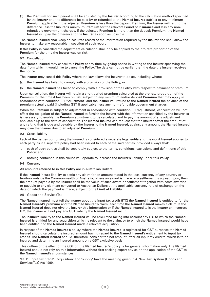<span id="page-18-0"></span>(c) the **Premium** for such period shall be adjusted by the **Insurer** according to the calculation method specified by the **Insurer** and the difference be paid by or refunded to the **Named Insured** subject to any minimum **Premium** applicable. If the adjusted **Premium** is less than the deposit **Premium**, the **Insurer** will refund the difference, less the **Insurer's** minimum **Premium** for the relevant **Period of Insurance** and less any nonrefundable government charges. If the adjusted **Premium** is more than the deposit **Premium**, the **Named Insured** will pay the difference to the **Insurer** as soon as possible.

The **Named Insured** shall keep an accurate record of the information required by the **Insurer** and shall allow the **Insurer** to make any reasonable inspection of such record.

If this **Policy** is cancelled the adjustment calculation shall only be applied to the pro rata proportion of the **Premium** for the time the **Insurer** was on risk.

#### 9.2 Cancellation

The **Named Insured** may cancel this **Policy** at any time by giving notice in writing to the **Insurer** specifying the date from which it would like to cancel the **Policy**. The date cannot be earlier than the date the **Insurer** receives the notice.

The **Insurer** may cancel this **Policy** where the law allows the **Insurer** to do so, including where:

- (a) the **Insured** has failed to comply with a provision of the **Policy**; or
- (b) the **Named Insured** has failed to comply with a provision of the Policy with respect to payment of premium.

Upon cancellation, the **Insurer** will retain a short period premium calculated at the pro rata proportion of the **Premium** for the time it has been on risk, subject to any minimum and/or deposit **Premium** that may apply in accordance with condition 9.1 'Adjustment', and the **Insurer** will refund to the **Named Insured** the balance of the premium actually paid (including GST if applicable) less any non-refundable government charges.

When the **Premium** is subject to adjustment in accordance with condition 9.1 'Adjustment', cancellation will not affect the obligation of the **Named Insured** to furnish the **Insurer** with the information specified by the **Insurer** as is necessary to enable the **Premium** adjustment to be calculated and to pay the amount of any adjustment applicable up to the date of cancellation. The **Named Insured** can request that the **Insurer** offset the amount of any refund that is due and payable by the **Insurer** to the **Named Insured,** against any amount the **Named Insured** may owe the **Insurer** due to an adjusted **Premium**.

#### 9.3 Cross liability

Each of the parties comprising the **Insured** is considered a separate legal entity and the word **Insured** applies to each party as if a separate policy had been issued to each of the said parties, provided always that:

- 1. each of such parties shall be separately subject to the terms, conditions, exclusions and definitions of this **Policy**; and
- 2. nothing contained in this clause will operate to increase the **Insurer's** liability under this **Policy**.
- 9.4 Currency

All amounts referred to in this **Policy** are in Australian Dollars.

If the **Insured** incurs liability to settle any claim for an amount stated in the local currency of any country or territory outside the Commonwealth of Australia, where an award is made or a settlement is agreed upon, then, the amount payable by the **Insurer** shall be the value of such award or settlement together with costs awarded or payable to any claimant converted to Australian Dollars at the applicable currency rate of exchange on the date on which the payment is made, subject to the **Limit of Liability**.

9.5 Goods and Services Tax

The **Named Insured** must tell the **Insurer** about the input tax credit (ITC) the **Named Insured** is entitled to for the **Named Insured's** premium and the **Named Insured's** claim, each time the **Named Insured** makes a claim. If the **Named Insured** does not give the **Insurer** this information or if the **Named Insured** tells the **Insurer** an incorrect ITC, the **Insurer** will not pay any GST liability the **Named Insured** incur.

The **Insurer's** liability to the **Named Insured** will be calculated taking into account any ITC to which the **Named Insured** is entitled for any acquisition which is relevant to the claim, or to which the **Named Insured** would have been entitled had the **Named Insured** made a relevant acquisition.

In respect of the **Named Insured's** policy, where the **Named Insured** is registered for GST purposes the **Named Insured** should calculate the insured amount having regard to the **Named Insured's** entitlement to input tax credits. The **Named Insured** should, therefore, consider the net amount (after all input tax credits) which is to be insured and determine an insured amount on a GST exclusive basis.

This outline of the effect of the GST on the **Named Insured's** policy is for general information only. The **Named Insured** should not rely on this information without first seeking expert advice on the application of the GST to the **Named Insured's** circumstances.

'GST', 'input tax credit', 'acquisition' and 'supply' have the meaning given in A New Tax System (Goods and Services Tax) Act 1999.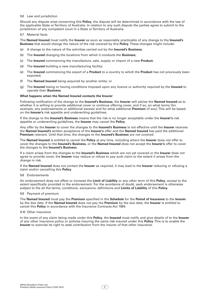#### <span id="page-19-0"></span>9.6 Law and jurisdiction

Should any dispute arise concerning this **Policy**, the dispute will be determined in accordance with the law of the applicable State or Territory of Australia. In relation to any such dispute the parties agree to submit to the jurisdiction of any competent court in a State or Territory of Australia.

9.7 Material facts

The **Named Insured** must notify the **Insurer** as soon as reasonably practicable of any change to the **Insured's Business** that would change the nature of the risk covered by this **Policy**. These changes might include:

- (a) A change to the nature of the activities carried out by the **Insured's Business**;
- (b) The **Insured** changing the locations from which it conducts the **Business**;
- (c) The **Insured** commencing the manufacture, sale, supply or import of a new **Product**;
- (d) The **Insured** building a new manufacturing facility;
- (e) The **Insured** commencing the export of a **Product** to a country to which the **Product** has not previously been exported;
- (f) The **Named Insured** being acquired by another entity; or
- (g) The **Insured** losing or having conditions imposed upon any licence or authority required by the **Insured** to operate their **Business**.

#### **What happens when the Named Insured contacts the Insurer**

Following notification of the change to the **Insured's Business**, the **Insurer** will advise the **Named Insured** as to whether it is willing to provide additional cover or continue offering cover, and if so, on what terms (for example, any endorsements or additional excess) and for what additional **Premium** (if any). This will be based on the **Insurer's** risk appetite and underwriting guidelines.

If the change to the **Insured's Business** means that the risk is no longer acceptable under the **Insurer's** risk appetite or underwriting guidelines, the **Insurer** may cancel the **Policy**.

Any offer by the **Insurer** to cover the changes to the **Insured's Business** is not effective until the **Insurer** receives the **Named Insured's** written acceptance of the **Insurer's** offer and the **Named Insured** has paid the additional **Premium** relevant. Until that time, the changes to the **Insured's Business** are not covered.

The **Named Insured** is entitled to cancel the **Policy** at any time, including where the **Insurer** does not offer to cover the changes to the **Insured's Business**, or the **Named Insured** does not accept the **Insurer's** offer to cover the changes to the **Insured's Business**.

If a claim arises from the changes to the **Insured's Business** which are not yet covered or the **Insurer** does not agree to provide cover, the **Insurer** may reduce or refuse to pay such claim to the extent it arises from the change in risk.

If the **Named Insured** does not contact the **Insurer** as required, it may lead to the **Insurer** reducing or refusing a claim and/or cancelling this **Policy**.

#### 9.8 Endorsements

An endorsement does not affect or increase the **Limit of Liability** or any other term of this **Policy**, except to the extent specifically provided in the endorsement. For the avoidance of doubt, each endorsement is otherwise subject to the all the terms, conditions, exclusions, definitions and **Limits of Liability** of this **Policy**.

#### 9.9 Payment of premium

The **Named Insured** must pay the **Premium** specified in the **Schedule** for the **Period of Insurance** to the **Insurer**  by the due date. If the **Named Insured** does not pay the **Premium** by the due date, the **Insurer** is entitled to cancel this **Policy** in accordance with the Insurance Contracts Act 1984.

#### 9.10 Other insurance

In the event of any claim being made under this **Policy**, the **Insured** must notify and give details of to the **Insurer**  of any other insurance policy or policies insuring the same risk insured under this **Policy**. This is to enable the **Insurer** to exercise its right to seek contribution from the insurer of that other insurance.